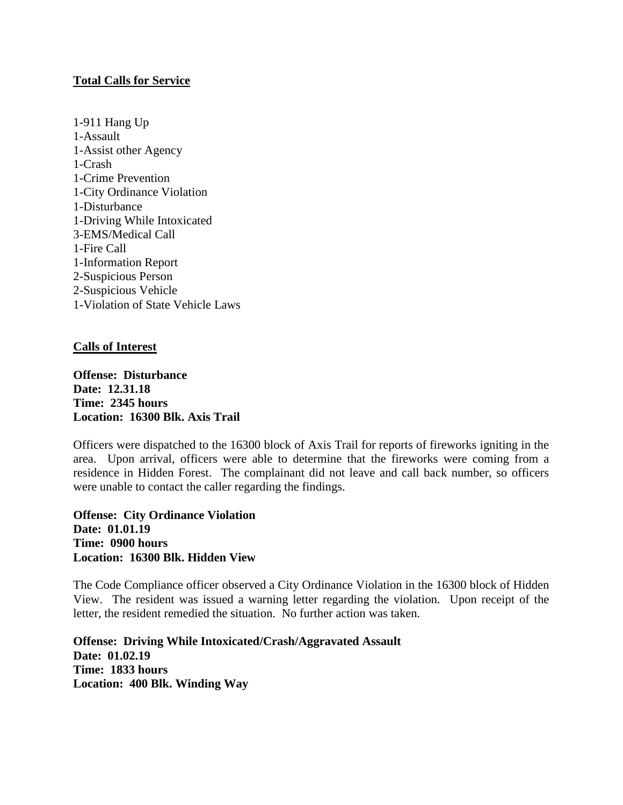## **Total Calls for Service**

1-911 Hang Up 1-Assault 1-Assist other Agency 1-Crash 1-Crime Prevention 1-City Ordinance Violation 1-Disturbance 1-Driving While Intoxicated 3-EMS/Medical Call 1-Fire Call 1-Information Report 2-Suspicious Person 2-Suspicious Vehicle 1-Violation of State Vehicle Laws

## **Calls of Interest**

**Offense: Disturbance Date: 12.31.18 Time: 2345 hours Location: 16300 Blk. Axis Trail**

Officers were dispatched to the 16300 block of Axis Trail for reports of fireworks igniting in the area. Upon arrival, officers were able to determine that the fireworks were coming from a residence in Hidden Forest. The complainant did not leave and call back number, so officers were unable to contact the caller regarding the findings.

**Offense: City Ordinance Violation Date: 01.01.19 Time: 0900 hours Location: 16300 Blk. Hidden View**

The Code Compliance officer observed a City Ordinance Violation in the 16300 block of Hidden View. The resident was issued a warning letter regarding the violation. Upon receipt of the letter, the resident remedied the situation. No further action was taken.

**Offense: Driving While Intoxicated/Crash/Aggravated Assault Date: 01.02.19 Time: 1833 hours Location: 400 Blk. Winding Way**